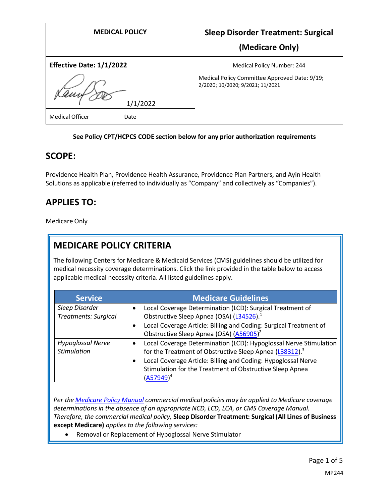| <b>MEDICAL POLICY</b>           | <b>Sleep Disorder Treatment: Surgical</b>                                         |
|---------------------------------|-----------------------------------------------------------------------------------|
|                                 | (Medicare Only)                                                                   |
| <b>Effective Date: 1/1/2022</b> | Medical Policy Number: 244                                                        |
| 1/1/2022                        | Medical Policy Committee Approved Date: 9/19;<br>2/2020; 10/2020; 9/2021; 11/2021 |
| <b>Medical Officer</b><br>Date  |                                                                                   |

#### **See Policy CPT/HCPCS CODE section below for any prior authorization requirements**

### **SCOPE:**

Providence Health Plan, Providence Health Assurance, Providence Plan Partners, and Ayin Health Solutions as applicable (referred to individually as "Company" and collectively as "Companies").

## **APPLIES TO:**

Medicare Only

## **MEDICARE POLICY CRITERIA**

The following Centers for Medicare & Medicaid Services (CMS) guidelines should be utilized for medical necessity coverage determinations. Click the link provided in the table below to access applicable medical necessity criteria. All listed guidelines apply.

| <b>Service</b>                                 | <b>Medicare Guidelines</b>                                                                                                                                                                                                                                                                                      |
|------------------------------------------------|-----------------------------------------------------------------------------------------------------------------------------------------------------------------------------------------------------------------------------------------------------------------------------------------------------------------|
| Sleep Disorder<br><b>Treatments: Surgical</b>  | Local Coverage Determination (LCD): Surgical Treatment of<br>$\bullet$<br>Obstructive Sleep Apnea (OSA) (L34526). <sup>1</sup><br>Local Coverage Article: Billing and Coding: Surgical Treatment of<br>$\bullet$<br>Obstructive Sleep Apnea (OSA) (A56905) <sup>2</sup>                                         |
| <b>Hypoglossal Nerve</b><br><b>Stimulation</b> | Local Coverage Determination (LCD): Hypoglossal Nerve Stimulation<br>$\bullet$<br>for the Treatment of Obstructive Sleep Apnea (L38312). <sup>3</sup><br>Local Coverage Article: Billing and Coding: Hypoglossal Nerve<br>$\bullet$<br>Stimulation for the Treatment of Obstructive Sleep Apnea<br>$(A57949)^4$ |

*Per th[e Medicare Policy Manual](https://s3-us-west-2.amazonaws.com/images.provhealth.org/Providence-Images/PHP_PHA_Medical_Policy_CMS_Manual.pdf) commercial medical policies may be applied to Medicare coverage determinations in the absence of an appropriate NCD, LCD, LCA, or CMS Coverage Manual. Therefore, the commercial medical policy,* **Sleep Disorder Treatment: Surgical (All Lines of Business except Medicare)** *applies to the following services:*

• Removal or Replacement of Hypoglossal Nerve Stimulator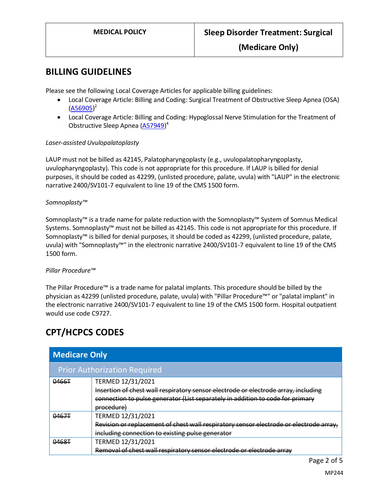**(Medicare Only)**

### **BILLING GUIDELINES**

Please see the following Local Coverage Articles for applicable billing guidelines:

- Local Coverage Article: Billing and Coding: Surgical Treatment of Obstructive Sleep Apnea (OSA) [\(A56905\)](https://www.cms.gov/medicare-coverage-database/details/article-details.aspx?articleId=56905) 2
- Local Coverage Article: Billing and Coding: Hypoglossal Nerve Stimulation for the Treatment of Obstructive Sleep Apnea [\(A57949\)](https://www.cms.gov/medicare-coverage-database/details/article-details.aspx?articleId=57949)<sup>4</sup>

#### *Laser-assisted Uvulopalatoplasty*

LAUP must not be billed as 42145, Palatopharyngoplasty (e.g., uvulopalatopharyngoplasty, uvulopharyngoplasty). This code is not appropriate for this procedure. If LAUP is billed for denial purposes, it should be coded as 42299, (unlisted procedure, palate, uvula) with "LAUP" in the electronic narrative 2400/SV101-7 equivalent to line 19 of the CMS 1500 form.

#### *Somnoplasty™*

Somnoplasty™ is a trade name for palate reduction with the Somnoplasty™ System of Somnus Medical Systems. Somnoplasty™ must not be billed as 42145. This code is not appropriate for this procedure. If Somnoplasty™ is billed for denial purposes, it should be coded as 42299, (unlisted procedure, palate, uvula) with "Somnoplasty™" in the electronic narrative 2400/SV101-7 equivalent to line 19 of the CMS 1500 form.

#### *Pillar Procedure™*

The Pillar Procedure™ is a trade name for palatal implants. This procedure should be billed by the physician as 42299 (unlisted procedure, palate, uvula) with "Pillar Procedure™" or "palatal implant" in the electronic narrative 2400/SV101-7 equivalent to line 19 of the CMS 1500 form. Hospital outpatient would use code C9727.

## **CPT/HCPCS CODES**

| <b>Medicare Only</b>                |                                                                                                                                                                                                         |  |
|-------------------------------------|---------------------------------------------------------------------------------------------------------------------------------------------------------------------------------------------------------|--|
| <b>Prior Authorization Required</b> |                                                                                                                                                                                                         |  |
| 0466T                               | TERMED 12/31/2021<br>Insertion of chest wall respiratory sensor electrode or electrode array, including<br>connection to pulse generator (List separately in addition to code for primary<br>procedure) |  |
| 0467T                               | TERMED 12/31/2021<br>Revision or replacement of chest wall respiratory sensor electrode or electrode array,<br>including connection to existing pulse generator                                         |  |
| 0468T                               | TERMED 12/31/2021<br>Removal of chest wall respiratory sensor electrode or electrode array                                                                                                              |  |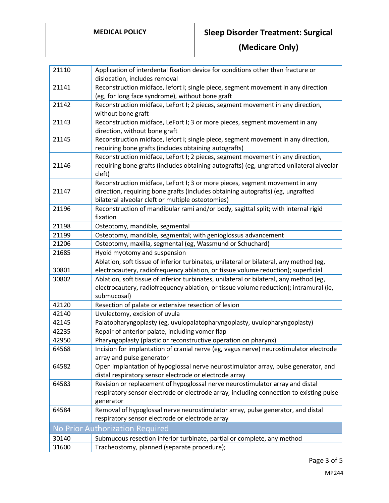# **MEDICAL POLICY Sleep Disorder Treatment: Surgical**

**(Medicare Only)**

| 21110                           | Application of interdental fixation device for conditions other than fracture or                     |  |
|---------------------------------|------------------------------------------------------------------------------------------------------|--|
|                                 | dislocation, includes removal                                                                        |  |
| 21141                           | Reconstruction midface, lefort i; single piece, segment movement in any direction                    |  |
|                                 | (eg, for long face syndrome), without bone graft                                                     |  |
| 21142                           | Reconstruction midface, LeFort I; 2 pieces, segment movement in any direction,                       |  |
|                                 | without bone graft                                                                                   |  |
| 21143                           | Reconstruction midface, LeFort I; 3 or more pieces, segment movement in any                          |  |
|                                 | direction, without bone graft                                                                        |  |
| 21145                           | Reconstruction midface, lefort i; single piece, segment movement in any direction,                   |  |
|                                 | requiring bone grafts (includes obtaining autografts)                                                |  |
|                                 | Reconstruction midface, LeFort I; 2 pieces, segment movement in any direction,                       |  |
| 21146                           | requiring bone grafts (includes obtaining autografts) (eg, ungrafted unilateral alveolar             |  |
|                                 | cleft)                                                                                               |  |
|                                 | Reconstruction midface, LeFort I; 3 or more pieces, segment movement in any                          |  |
| 21147                           | direction, requiring bone grafts (includes obtaining autografts) (eg, ungrafted                      |  |
|                                 | bilateral alveolar cleft or multiple osteotomies)                                                    |  |
| 21196                           | Reconstruction of mandibular rami and/or body, sagittal split; with internal rigid                   |  |
|                                 | fixation                                                                                             |  |
| 21198                           | Osteotomy, mandible, segmental                                                                       |  |
| 21199                           | Osteotomy, mandible, segmental; with genioglossus advancement                                        |  |
| 21206                           | Osteotomy, maxilla, segmental (eg, Wassmund or Schuchard)                                            |  |
| 21685                           | Hyoid myotomy and suspension                                                                         |  |
|                                 | Ablation, soft tissue of inferior turbinates, unilateral or bilateral, any method (eg,               |  |
| 30801                           | electrocautery, radiofrequency ablation, or tissue volume reduction); superficial                    |  |
| 30802                           | Ablation, soft tissue of inferior turbinates, unilateral or bilateral, any method (eg,               |  |
|                                 | electrocautery, radiofrequency ablation, or tissue volume reduction); intramural (ie,<br>submucosal) |  |
| 42120                           | Resection of palate or extensive resection of lesion                                                 |  |
| 42140                           | Uvulectomy, excision of uvula                                                                        |  |
| 42145                           | Palatopharyngoplasty (eg, uvulopalatopharyngoplasty, uvulopharyngoplasty)                            |  |
| 42235                           | Repair of anterior palate, including vomer flap                                                      |  |
| 42950                           | Pharyngoplasty (plastic or reconstructive operation on pharynx)                                      |  |
| 64568                           | Incision for implantation of cranial nerve (eg, vagus nerve) neurostimulator electrode               |  |
|                                 | array and pulse generator                                                                            |  |
| 64582                           | Open implantation of hypoglossal nerve neurostimulator array, pulse generator, and                   |  |
|                                 | distal respiratory sensor electrode or electrode array                                               |  |
| 64583                           | Revision or replacement of hypoglossal nerve neurostimulator array and distal                        |  |
|                                 | respiratory sensor electrode or electrode array, including connection to existing pulse              |  |
|                                 | generator                                                                                            |  |
| 64584                           | Removal of hypoglossal nerve neurostimulator array, pulse generator, and distal                      |  |
|                                 | respiratory sensor electrode or electrode array                                                      |  |
| No Prior Authorization Required |                                                                                                      |  |
| 30140                           | Submucous resection inferior turbinate, partial or complete, any method                              |  |
| 31600                           | Tracheostomy, planned (separate procedure);                                                          |  |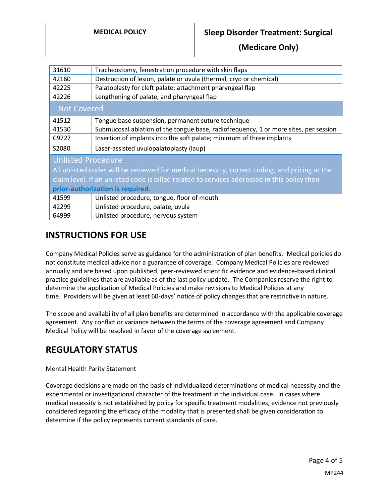**(Medicare Only)**

| Tracheostomy, fenestration procedure with skin flaps                                          |  |  |
|-----------------------------------------------------------------------------------------------|--|--|
| Destruction of lesion, palate or uvula (thermal, cryo or chemical)                            |  |  |
| Palatoplasty for cleft palate; attachment pharyngeal flap                                     |  |  |
| Lengthening of palate, and pharyngeal flap                                                    |  |  |
| <b>Not Covered</b>                                                                            |  |  |
| Tongue base suspension, permanent suture technique                                            |  |  |
| Submucosal ablation of the tongue base, radiofrequency, 1 or more sites, per session          |  |  |
| Insertion of implants into the soft palate; minimum of three implants                         |  |  |
| Laser-assisted uvulopalatoplasty (laup)                                                       |  |  |
| <b>Unlisted Procedure</b>                                                                     |  |  |
| All unlisted codes will be reviewed for medical necessity, correct coding, and pricing at the |  |  |
| claim level. If an unlisted code is billed related to services addressed in this policy then  |  |  |
| prior-authorization is required.                                                              |  |  |
| Unlisted procedure, tongue, floor of mouth                                                    |  |  |
| Unlisted procedure, palate, uvula                                                             |  |  |
| Unlisted procedure, nervous system                                                            |  |  |
|                                                                                               |  |  |

## **INSTRUCTIONS FOR USE**

Company Medical Policies serve as guidance for the administration of plan benefits. Medical policies do not constitute medical advice nor a guarantee of coverage. Company Medical Policies are reviewed annually and are based upon published, peer-reviewed scientific evidence and evidence-based clinical practice guidelines that are available as of the last policy update. The Companies reserve the right to determine the application of Medical Policies and make revisions to Medical Policies at any time. Providers will be given at least 60-days' notice of policy changes that are restrictive in nature.

The scope and availability of all plan benefits are determined in accordance with the applicable coverage agreement. Any conflict or variance between the terms of the coverage agreement and Company Medical Policy will be resolved in favor of the coverage agreement.

## **REGULATORY STATUS**

### Mental Health Parity Statement

Coverage decisions are made on the basis of individualized determinations of medical necessity and the experimental or investigational character of the treatment in the individual case. In cases where medical necessity is not established by policy for specific treatment modalities, evidence not previously considered regarding the efficacy of the modality that is presented shall be given consideration to determine if the policy represents current standards of care.